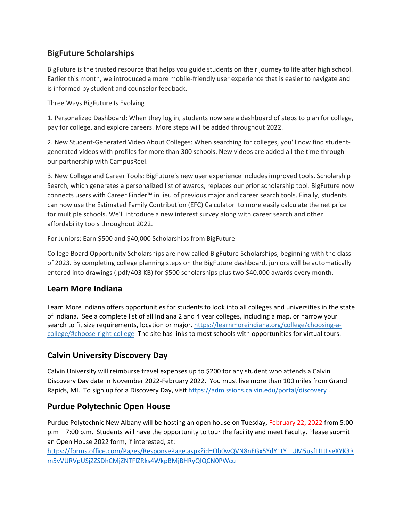## **BigFuture Scholarships**

BigFuture is the trusted resource that helps you guide students on their journey to life after high school. Earlier this month, we introduced a more mobile-friendly user experience that is easier to navigate and is informed by student and counselor feedback.

Three Ways BigFuture Is Evolving

1. Personalized Dashboard: When they log in, students now see a dashboard of steps to plan for college, pay for college, and explore careers. More steps will be added throughout 2022.

2. New Student-Generated Video About Colleges: When searching for colleges, you'll now find studentgenerated videos with profiles for more than 300 schools. New videos are added all the time through our partnership with CampusReel.

3. New College and Career Tools: BigFuture's new user experience includes improved tools. Scholarship Search, which generates a personalized list of awards, replaces our prior scholarship tool. BigFuture now connects users with Career Finder™ in lieu of previous major and career search tools. Finally, students can now use the Estimated Family Contribution (EFC) Calculator to more easily calculate the net price for multiple schools. We'll introduce a new interest survey along with career search and other affordability tools throughout 2022.

For Juniors: Earn \$500 and \$40,000 Scholarships from BigFuture

College Board Opportunity Scholarships are now called BigFuture Scholarships, beginning with the class of 2023. By completing college planning steps on the BigFuture dashboard, juniors will be automatically entered into drawings (.pdf/403 KB) for \$500 scholarships plus two \$40,000 awards every month.

### **Learn More Indiana**

Learn More Indiana offers opportunities for students to look into all colleges and universities in the state of Indiana. See a complete list of all Indiana 2 and 4 year colleges, including a map, or narrow your search to fit size requirements, location or major. [https://learnmoreindiana.org/college/choosing-a](https://learnmoreindiana.org/college/choosing-a-college/#choose-right-college)[college/#choose-right-college](https://learnmoreindiana.org/college/choosing-a-college/#choose-right-college) The site has links to most schools with opportunities for virtual tours.

# **Calvin University Discovery Day**

Calvin University will reimburse travel expenses up to \$200 for any student who attends a Calvin Discovery Day date in November 2022-February 2022. You must live more than 100 miles from Grand Rapids, MI. To sign up for a Discovery Day, visit<https://admissions.calvin.edu/portal/discovery> .

### **Purdue Polytechnic Open House**

Purdue Polytechnic New Albany will be hosting an open house on Tuesday, February 22, 2022 from 5:00 p.m – 7:00 p.m. Students will have the opportunity to tour the facility and meet Faculty. Please submit an Open House 2022 form, if interested, at:

[https://forms.office.com/Pages/ResponsePage.aspx?id=Ob0wQVN8nEGx5YdY1tY\\_IUM5usfLILtLseXYK3R](https://forms.office.com/Pages/ResponsePage.aspx?id=Ob0wQVN8nEGx5YdY1tY_IUM5usfLILtLseXYK3Rm5vVURVpUSjZZSDhCMjZNTFlZRks4WkpBMjBHRyQlQCN0PWcu) [m5vVURVpUSjZZSDhCMjZNTFlZRks4WkpBMjBHRyQlQCN0PWcu](https://forms.office.com/Pages/ResponsePage.aspx?id=Ob0wQVN8nEGx5YdY1tY_IUM5usfLILtLseXYK3Rm5vVURVpUSjZZSDhCMjZNTFlZRks4WkpBMjBHRyQlQCN0PWcu)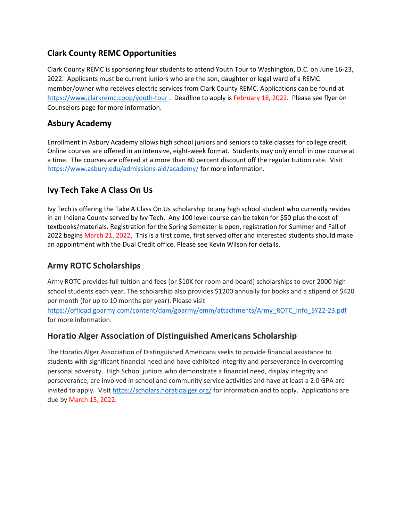## **Clark County REMC Opportunities**

Clark County REMC is sponsoring four students to attend Youth Tour to Washington, D.C. on June 16-23, 2022. Applicants must be current juniors who are the son, daughter or legal ward of a REMC member/owner who receives electric services from Clark County REMC. Applications can be found at <https://www.clarkremc.coop/youth-tour> . Deadline to apply is February 18, 2022. Please see flyer on Counselors page for more information.

#### **Asbury Academy**

Enrollment in Asbury Academy allows high school juniors and seniors to take classes for college credit. Online courses are offered in an intensive, eight-week format. Students may only enroll in one course at a time. The courses are offered at a more than 80 percent discount off the regular tuition rate. Visit <https://www.asbury.edu/admissions-aid/academy/> for more information.

### **Ivy Tech Take A Class On Us**

Ivy Tech is offering the Take A Class On Us scholarship to any high school student who currently resides in an Indiana County served by Ivy Tech. Any 100 level course can be taken for \$50 plus the cost of textbooks/materials. Registration for the Spring Semester is open, registration for Summer and Fall of 2022 begins March 21, 2022. This is a first come, first served offer and interested students should make an appointment with the Dual Credit office. Please see Kevin Wilson for details.

### **Army ROTC Scholarships**

Army ROTC provides full tuition and fees (or \$10K for room and board) scholarships to over 2000 high school students each year. The scholarship also provides \$1200 annually for books and a stipend of \$420 per month (for up to 10 months per year). Please visit

[https://offload.goarmy.com/content/dam/goarmy/emm/attachments/Army\\_ROTC\\_Info\\_SY22-23.pdf](https://offload.goarmy.com/content/dam/goarmy/emm/attachments/Army_ROTC_Info_SY22-23.pdf) for more information.

#### **Horatio Alger Association of Distinguished Americans Scholarship**

The Horatio Alger Association of Distinguished Americans seeks to provide financial assistance to students with significant financial need and have exhibited integrity and perseverance in overcoming personal adversity. High School juniors who demonstrate a financial need, display integrity and perseverance, are involved in school and community service activities and have at least a 2.0 GPA are invited to apply. Visit<https://scholars.horatioalger.org/> for information and to apply. Applications are due by March 15, 2022.